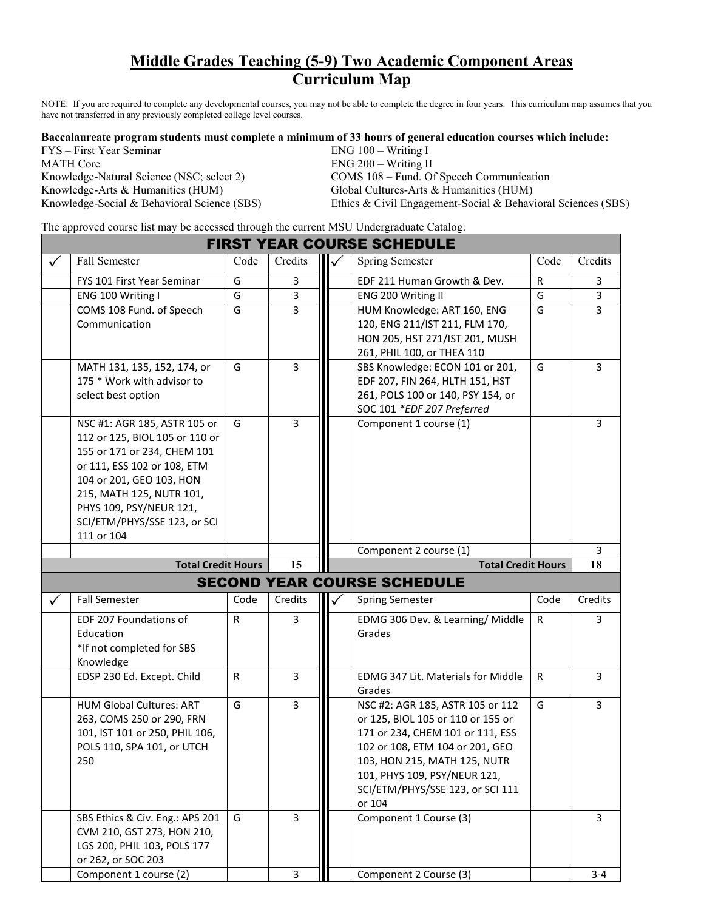## **Middle Grades Teaching (5-9) Two Academic Component Areas Curriculum Map**

NOTE: If you are required to complete any developmental courses, you may not be able to complete the degree in four years. This curriculum map assumes that you have not transferred in any previously completed college level courses.

**Baccalaureate program students must complete a minimum of 33 hours of general education courses which include:** 

| FYS – First Year Seminar                    | $ENG 100 - Writing I$                                        |
|---------------------------------------------|--------------------------------------------------------------|
| <b>MATH Core</b>                            | $ENG 200 - Writing II$                                       |
| Knowledge-Natural Science (NSC; select 2)   | COMS 108 – Fund. Of Speech Communication                     |
| Knowledge-Arts & Humanities (HUM)           | Global Cultures-Arts & Humanities (HUM)                      |
| Knowledge-Social & Behavioral Science (SBS) | Ethics & Civil Engagement-Social & Behavioral Sciences (SBS) |

The approved course list may be accessed through the current MSU Undergraduate Catalog.

|   | <b>FIRST YEAR COURSE SCHEDULE</b>                                                                                                                                                                                                                             |              |                |  |                                                                                                                                                                                                                                                            |              |                |  |  |
|---|---------------------------------------------------------------------------------------------------------------------------------------------------------------------------------------------------------------------------------------------------------------|--------------|----------------|--|------------------------------------------------------------------------------------------------------------------------------------------------------------------------------------------------------------------------------------------------------------|--------------|----------------|--|--|
| ✓ | Fall Semester                                                                                                                                                                                                                                                 | Code         | Credits        |  | <b>Spring Semester</b>                                                                                                                                                                                                                                     | Code         | Credits        |  |  |
|   | FYS 101 First Year Seminar                                                                                                                                                                                                                                    | G            | 3              |  | EDF 211 Human Growth & Dev.                                                                                                                                                                                                                                | $\mathsf{R}$ | 3              |  |  |
|   | ENG 100 Writing I                                                                                                                                                                                                                                             | G            | 3              |  | ENG 200 Writing II                                                                                                                                                                                                                                         | G            | 3              |  |  |
|   | COMS 108 Fund. of Speech<br>Communication                                                                                                                                                                                                                     | G            | $\overline{3}$ |  | HUM Knowledge: ART 160, ENG<br>120, ENG 211/IST 211, FLM 170,<br>HON 205, HST 271/IST 201, MUSH<br>261, PHIL 100, or THEA 110                                                                                                                              | G            | $\overline{3}$ |  |  |
|   | MATH 131, 135, 152, 174, or<br>175 * Work with advisor to<br>select best option                                                                                                                                                                               | G            | 3              |  | SBS Knowledge: ECON 101 or 201,<br>EDF 207, FIN 264, HLTH 151, HST<br>261, POLS 100 or 140, PSY 154, or<br>SOC 101 *EDF 207 Preferred                                                                                                                      | G            | 3              |  |  |
|   | NSC #1: AGR 185, ASTR 105 or<br>112 or 125, BIOL 105 or 110 or<br>155 or 171 or 234, CHEM 101<br>or 111, ESS 102 or 108, ETM<br>104 or 201, GEO 103, HON<br>215, MATH 125, NUTR 101,<br>PHYS 109, PSY/NEUR 121,<br>SCI/ETM/PHYS/SSE 123, or SCI<br>111 or 104 | G            | $\overline{3}$ |  | Component 1 course (1)                                                                                                                                                                                                                                     |              | 3              |  |  |
|   |                                                                                                                                                                                                                                                               |              |                |  | Component 2 course (1)                                                                                                                                                                                                                                     |              | 3              |  |  |
|   |                                                                                                                                                                                                                                                               |              |                |  |                                                                                                                                                                                                                                                            |              |                |  |  |
|   | <b>Total Credit Hours</b>                                                                                                                                                                                                                                     |              | 15             |  | <b>Total Credit Hours</b>                                                                                                                                                                                                                                  |              | 18             |  |  |
|   |                                                                                                                                                                                                                                                               |              |                |  | <b>SECOND YEAR COURSE SCHEDULE</b>                                                                                                                                                                                                                         |              |                |  |  |
| ✓ | <b>Fall Semester</b>                                                                                                                                                                                                                                          | Code         | Credits        |  | <b>Spring Semester</b>                                                                                                                                                                                                                                     | Code         | Credits        |  |  |
|   | EDF 207 Foundations of<br>Education<br>*If not completed for SBS<br>Knowledge                                                                                                                                                                                 | R            | 3              |  | EDMG 306 Dev. & Learning/ Middle<br>Grades                                                                                                                                                                                                                 | $\mathsf{R}$ | 3              |  |  |
|   | EDSP 230 Ed. Except. Child                                                                                                                                                                                                                                    | $\mathsf{R}$ | 3              |  | <b>EDMG 347 Lit. Materials for Middle</b><br>Grades                                                                                                                                                                                                        | $\mathsf{R}$ | 3              |  |  |
|   | <b>HUM Global Cultures: ART</b><br>263, COMS 250 or 290, FRN<br>101, IST 101 or 250, PHIL 106,<br>POLS 110, SPA 101, or UTCH<br>250                                                                                                                           | G            | 3              |  | NSC #2: AGR 185, ASTR 105 or 112<br>or 125, BIOL 105 or 110 or 155 or<br>171 or 234, CHEM 101 or 111, ESS<br>102 or 108, ETM 104 or 201, GEO<br>103, HON 215, MATH 125, NUTR<br>101, PHYS 109, PSY/NEUR 121,<br>SCI/ETM/PHYS/SSE 123, or SCI 111<br>or 104 | G            | 3              |  |  |
|   | SBS Ethics & Civ. Eng.: APS 201<br>CVM 210, GST 273, HON 210,<br>LGS 200, PHIL 103, POLS 177<br>or 262, or SOC 203                                                                                                                                            | G            | 3              |  | Component 1 Course (3)                                                                                                                                                                                                                                     |              | 3              |  |  |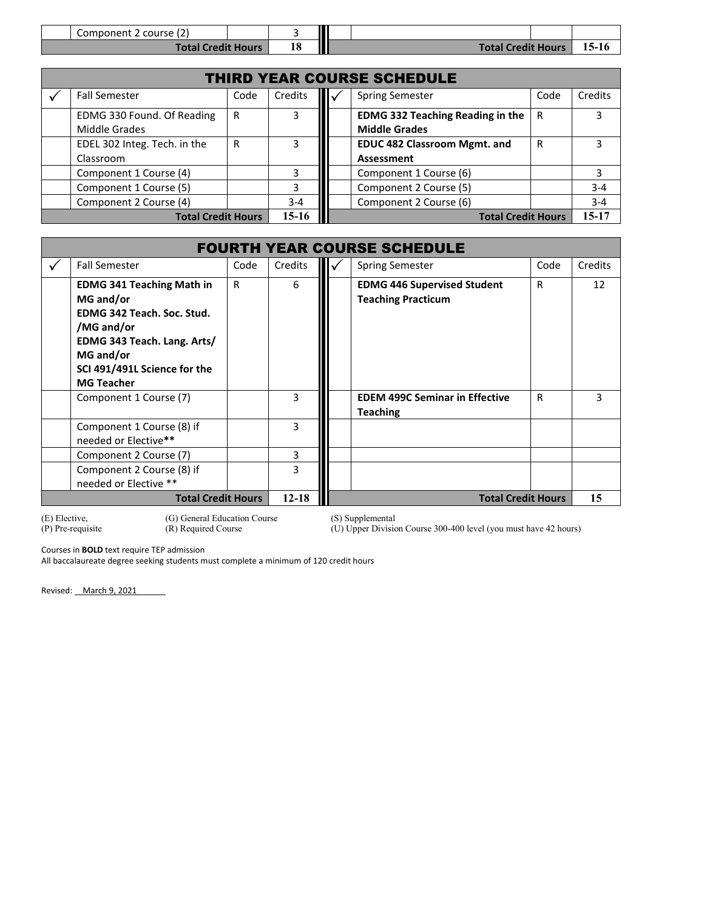| Component 2 course (2)    |  |  |                           |       |
|---------------------------|--|--|---------------------------|-------|
| <b>Total Credit Hours</b> |  |  | <b>Total Credit Hours</b> | 15-16 |

|                                   | <b>THIRD YEAR COURSE SCHEDULE</b>           |                        |                                     |         |                                                                 |   |         |  |
|-----------------------------------|---------------------------------------------|------------------------|-------------------------------------|---------|-----------------------------------------------------------------|---|---------|--|
|                                   | <b>Fall Semester</b>                        | <b>Spring Semester</b> | Code                                | Credits |                                                                 |   |         |  |
|                                   | EDMG 330 Found. Of Reading<br>Middle Grades | R                      | 3                                   |         | <b>EDMG 332 Teaching Reading in the</b><br><b>Middle Grades</b> | R | 3       |  |
| EDEL 302 Integ. Tech. in the<br>R |                                             | 3.                     | <b>EDUC 482 Classroom Mgmt. and</b> |         | R                                                               | 3 |         |  |
|                                   | Classroom                                   |                        |                                     |         | Assessment                                                      |   |         |  |
| Component 1 Course (4)            |                                             |                        | 3.                                  |         | Component 1 Course (6)                                          |   | 3       |  |
|                                   | Component 1 Course (5)                      |                        | 3.                                  |         | Component 2 Course (5)                                          |   | $3 - 4$ |  |
|                                   | Component 2 Course (4)                      |                        | $3 - 4$                             |         | Component 2 Course (6)                                          |   | $3 - 4$ |  |
|                                   | <b>Total Credit Hours</b>                   |                        | $15-16$                             |         | <b>Total Credit Hours</b>                                       |   | 15-17   |  |

|                                                   | <b>FOURTH YEAR COURSE SCHEDULE</b>                                                                                                                                                                     |      |           |                                                          |                                                                 |      |         |  |
|---------------------------------------------------|--------------------------------------------------------------------------------------------------------------------------------------------------------------------------------------------------------|------|-----------|----------------------------------------------------------|-----------------------------------------------------------------|------|---------|--|
|                                                   | <b>Fall Semester</b>                                                                                                                                                                                   | Code | Credits   |                                                          | <b>Spring Semester</b>                                          | Code | Credits |  |
|                                                   | <b>EDMG 341 Teaching Math in</b><br>R<br>MG and/or<br><b>EDMG 342 Teach, Soc. Stud.</b><br>/MG and/or<br>EDMG 343 Teach. Lang. Arts/<br>MG and/or<br>SCI 491/491L Science for the<br><b>MG Teacher</b> |      | 6         |                                                          | <b>EDMG 446 Supervised Student</b><br><b>Teaching Practicum</b> | R    | 12      |  |
| Component 1 Course (7)                            |                                                                                                                                                                                                        | 3    |           | <b>EDEM 499C Seminar in Effective</b><br><b>Teaching</b> | $\mathsf{R}$                                                    | 3    |         |  |
| Component 1 Course (8) if<br>needed or Elective** |                                                                                                                                                                                                        | 3    |           |                                                          |                                                                 |      |         |  |
|                                                   | Component 2 Course (7)                                                                                                                                                                                 |      | 3         |                                                          |                                                                 |      |         |  |
|                                                   | Component 2 Course (8) if<br>needed or Elective **                                                                                                                                                     |      | 3         |                                                          |                                                                 |      |         |  |
|                                                   | <b>Total Credit Hours</b>                                                                                                                                                                              |      | $12 - 18$ |                                                          | <b>Total Credit Hours</b>                                       |      | 15      |  |

(E) Elective, (G) General Education Course<br>
(P) Pre-requisite (R) Required Course

(S) Supplemental (U) Upper Division Course 300-400 level (you must have 42 hours)

Courses in **BOLD** text require TEP admission

All baccalaureate degree seeking students must complete a minimum of 120 credit hours

Revised: March 9, 2021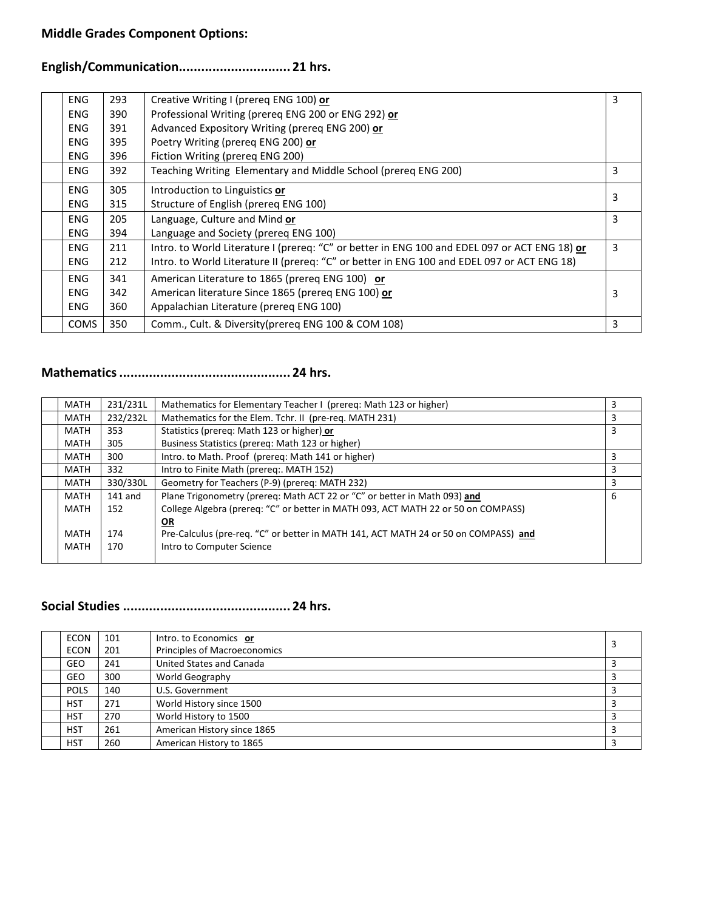## **English/Communication.............................. 21 hrs.**

| <b>ENG</b>  | 293 | Creative Writing I (prereg ENG 100) or                                                        | 3 |
|-------------|-----|-----------------------------------------------------------------------------------------------|---|
| <b>ENG</b>  | 390 | Professional Writing (prereq ENG 200 or ENG 292) or                                           |   |
| <b>ENG</b>  | 391 | Advanced Expository Writing (prereq ENG 200) or                                               |   |
| <b>ENG</b>  | 395 | Poetry Writing (prereq ENG 200) or                                                            |   |
| <b>ENG</b>  | 396 | Fiction Writing (prereq ENG 200)                                                              |   |
| <b>ENG</b>  | 392 | Teaching Writing Elementary and Middle School (prereq ENG 200)                                | 3 |
| <b>ENG</b>  | 305 | Introduction to Linguistics or                                                                |   |
| <b>ENG</b>  | 315 | Structure of English (prereq ENG 100)                                                         | 3 |
| <b>ENG</b>  | 205 | Language, Culture and Mind or                                                                 | 3 |
| <b>ENG</b>  | 394 | Language and Society (prereq ENG 100)                                                         |   |
| <b>ENG</b>  | 211 | Intro. to World Literature I (prereq: "C" or better in ENG 100 and EDEL 097 or ACT ENG 18) or | 3 |
| <b>ENG</b>  | 212 | Intro. to World Literature II (prereq: "C" or better in ENG 100 and EDEL 097 or ACT ENG 18)   |   |
| ENG.        | 341 | American Literature to 1865 (prereq ENG 100) or                                               |   |
| <b>ENG</b>  | 342 | American literature Since 1865 (prereq ENG 100) or                                            | 3 |
| <b>ENG</b>  | 360 | Appalachian Literature (prereq ENG 100)                                                       |   |
| <b>COMS</b> | 350 | Comm., Cult. & Diversity(prereq ENG 100 & COM 108)                                            | 3 |

# **Mathematics.............................................. 24 hrs.**

|  | <b>MATH</b> | 231/231L  | Mathematics for Elementary Teacher I (prereg: Math 123 or higher)                   | 3 |
|--|-------------|-----------|-------------------------------------------------------------------------------------|---|
|  | MATH        | 232/232L  | Mathematics for the Elem. Tchr. II (pre-req. MATH 231)                              | 3 |
|  | MATH        | 353       | Statistics (prereq: Math 123 or higher) or                                          | 3 |
|  | MATH        | 305       | Business Statistics (prereq: Math 123 or higher)                                    |   |
|  | MATH        | 300       | Intro. to Math. Proof (prereq: Math 141 or higher)                                  | 3 |
|  | MATH        | 332       | Intro to Finite Math (prereq:. MATH 152)                                            | 3 |
|  | MATH        | 330/330L  | Geometry for Teachers (P-9) (prereq: MATH 232)                                      | 3 |
|  | MATH        | $141$ and | Plane Trigonometry (prereq: Math ACT 22 or "C" or better in Math 093) and           | 6 |
|  | MATH        | 152       | College Algebra (prereq: "C" or better in MATH 093, ACT MATH 22 or 50 on COMPASS)   |   |
|  |             |           | OR                                                                                  |   |
|  | MATH        | 174       | Pre-Calculus (pre-req. "C" or better in MATH 141, ACT MATH 24 or 50 on COMPASS) and |   |
|  | MATH        | 170       | Intro to Computer Science                                                           |   |
|  |             |           |                                                                                     |   |

## **Social Studies ............................................. 24 hrs.**

| <b>ECON</b> | 101 | Intro. to Economics or              |  |
|-------------|-----|-------------------------------------|--|
| <b>ECON</b> | 201 | <b>Principles of Macroeconomics</b> |  |
| GEO         | 241 | <b>United States and Canada</b>     |  |
| GEO         | 300 | World Geography                     |  |
| <b>POLS</b> | 140 | U.S. Government                     |  |
| <b>HST</b>  | 271 | World History since 1500            |  |
| <b>HST</b>  | 270 | World History to 1500               |  |
| <b>HST</b>  | 261 | American History since 1865         |  |
| <b>HST</b>  | 260 | American History to 1865            |  |